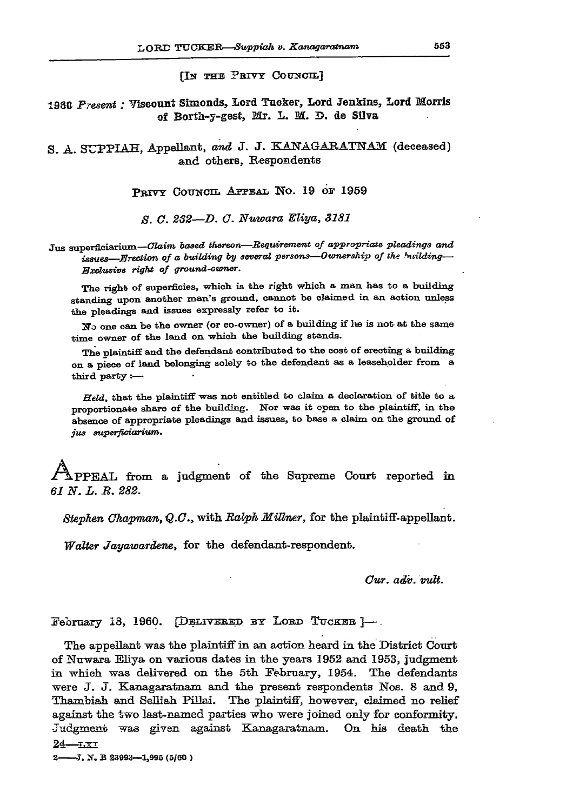**[IN THE PETTY COUNCIL]** 

**i960** *Present:* **Yisconnt Simonds, Lord Tucker, Lord Jenkins, Lord Morris**  of Borth-y-gest, Mr. L. M. D. de Silva

**S. A. SUPPIAH, Appellant,** *and* **J . J . KANAGAEATNAM (deceased)**  and others, Respondents

**PRIVY COUNCIL APPEAL NO. 19 6E 1959** 

*S. G. 2S2—D. 0. Nuwara Eliya, 3181* 

Jus superficiarium—*Claim based thereon—Requirement of appropriate pleadings and issues—Erection of a building by several persons—Ownership of the Hiilding— Exclusive right of ground-owner.* 

The right of superficies, which is the right which a man has to a building standing upon another man's ground, cannot be claimed in an action unless the pleadings and issues expressly refer to it.

**2**"o one can be the owner (or co-owner) of a building if lie is not at the same time owner of the land on which the building stands.

The plaintiff and the defendant contributed to the cost of erecting a building on a piece of land belonging solely to the defendant as a leaseholder from a third party:—

*Held,* that the plaintiff was not entitled to claim a declaration of title to a proportionate share of the building. Nor was it open to the plaintiff, in the absence of appropriate pleadings and issues, to base a claim on the ground of *jus superfioiarium.* 

PPEAL from a judgment of the Supreme Court reported in **61 N.L.R. 282.** *61 N. L. R. 282.* 

*Stephen Chapman, Q.C.,* **with** *Ralph Mittner,* **for the plaintiff-appellant.** 

*Walter Jayawardem,* **for the defendant-respondent.** 

*Cur. adv. vult.* 

**February 18, 1960. [DELITESEB BY LOBD TUCKER ]—.** 

**The appellant was the plaintiff in an action heard in the District Court of Nuwara Eliya on various dates in the years 1952 and 1953, judgment in which was delivered on the 5th February, 1954. The defendants were J. J. Eanagaratnam and the present respondents Nos. 8 and 9, Thambiah and Sefliah Pillai. The plaintiff, however, claimed no relief against the two last-named parties who were joined only for conformity. Judgment was given against Xanagaratnam. On his death the 24—lsi** 

2 -- J. N. B 23993-1,995 (5/60)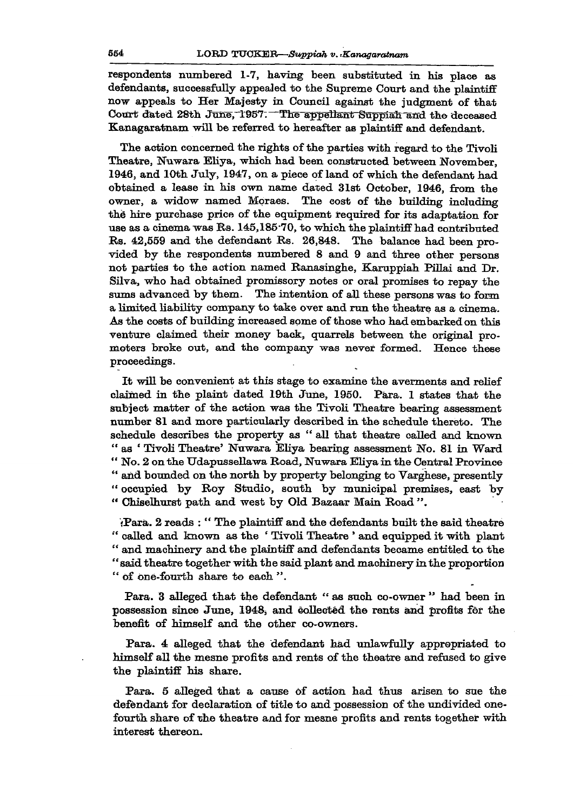**respondents numbered 1-7, having been substituted in his place as defendants, successfully appealed to the Supreme Court and the plaintiff now appeals to Her Majesty in Council against the judgment of that**  Court dated 28th June, 1957. The appellant Suppian and the deceased **Kanagaratnam will be referred to hereafter as plaintiff and defendant.** 

**The action concerned the rights of the parties with regard to the Tivoli Theatre, Nuwara Eliya, which had been constructed between November, 1946, and 10th July, 1947, on a piece of land of which the defendant had obtained a lease in his own name dated 31st October, 1946, from the owner, a widow named Mpraes. The cost of the building including the hire purchase price of the equipment required for its adaptation for use as a cinema was Rs. 145,185-70, to which the plaintiff had contributed Rs. 42,559 and the defendant Rs. 26,848. The balance had been provided by the respondents numbered 8 and 9 and three other persons not parties to the action named Ranasinghe, Karuppiah Pillai and Dr. Silva, who had obtained promissory notes or oral promises to repay the sums advanced by them. The intention of all these persons was to form a limited liability company to take over and run the theatre as a cinema. As the costs of building increased some of those who had embarked on this venture claimed their money back, quarrels between the original promoters broke out, and the company was never formed. Hence these proceedings.** 

**It will be convenient at this stage to examine the averments and relief claimed in the plaint dated 19th June, 1950. Para. 1 states that the subject matter of the action was the Tivoli Theatre bearing assessment number 81 and more particularly described in the schedule thereto. The schedule describes the property as " all that theatre called and known " as ' Tivoli Theatre' Nuwara Eliya bearing assessment No. 81 in Ward " No. 2 on the Udapussellawa Road, Nuwara Eliya in the Central Province " and bounded on the north by property belonging to Varghese, presently " occupied by Roy Studio, south by municipal premises, east by " Chiselhurst path and west by Old Bazaar Main Road ".** 

**{Para. 2 reads : " The plaintiff and the defendants built the said theatre " called and known as the ' Tivoli Theatre ' and equipped it with plant " and machinery and the plaintiff and defendants became entitled to the " said theatre together with the said plant and machinery in the proportion " of one-fourth share to each ".** 

**Para. 3 alleged that the defendant " as such co-owner " had been in possession since June, 1948, and collected the rents and profits for the benefit of himself and the other co-owners.** 

**Para. 4 alleged that the defendant had unlawfully appropriated to himself all the mesne profits and rents of the theatre and refused to give the plaintiff his share.** 

**Para. 5 alleged that a cause of action had thus arisen to sue the defendant for declaration of title to and possession of the undivided onefourth share of the theatre and for mesne profits and rents together with interest thereon.**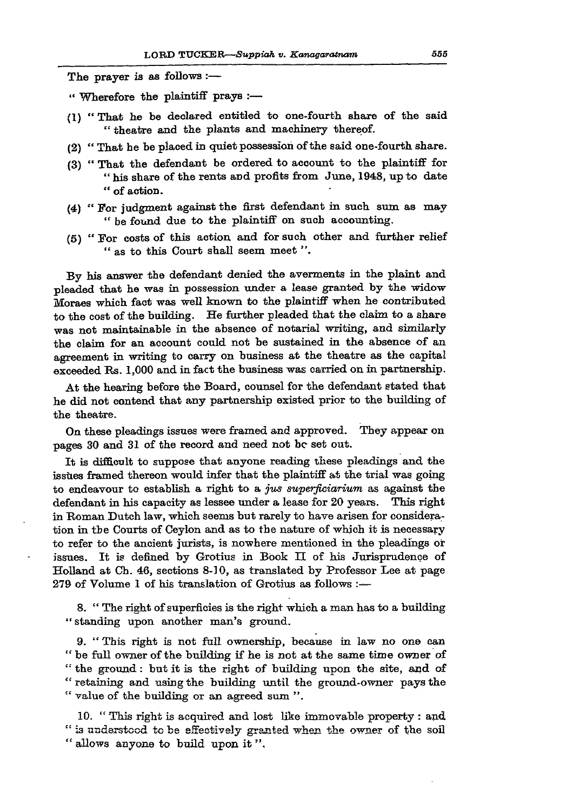**The prayer is as follows :—** 

**" Wherefore the plaintiff prays :—** 

- **(1) " That he be declared entitled to one-fourth share of the said " theatre and the plants and machinery thereof.**
- **(2) " That he be placed in quiet possession of the said one-fourth share.**
- **(3) " That the defendant be ordered to account to the plaintiff for**  " his share of the rents and profits from June, 1948, up to date **" of action.**
- **(4) " For judgment against the first defendant in such sum as may " be found due to the plaintiff on such accounting.**
- **(5) " For costs of this action and for such other and further relief " as to this Court shall seem meet ".**

**By his answer the defendant denied the averments in the plaint and pleaded that he was in possession under a lease granted by the widow Moraes which fact was well known to the plaintiff when he contributed to the cost of the building. He further pleaded that the claim to a share was not maintainable in the absence of notarial writing, and similarly the claim for an account could not be sustained in the absence of an agreement in writing to carry on business at the theatre as the capital exceeded Rs. 1,000 and in fact the business was carried on in partnership.** 

**At the hearing before the Board, counsel for the defendant stated that he did not contend that any partnership existed prior to the building of the theatre.** 

**On these pleadings issues were framed and approved. They appear on pages 30 and 31 of the record and need not be set out.** 

**It is difficult to suppose that anyone reading these pleadings and the issues framed thereon would infer that the plaintiff at the trial was going to endeavour to establish a right to a** *jus superficiarium* **as against the defendant in his capacity as lessee under a lease for 20 years. This right in Roman Dutch law, which seems but rarely to have arisen for consideration in the Courts of Ceylon and as to the nature of which it is necessary to refer to the ancient jurists, is nowhere mentioned in the pleadings or issues. It is defined by Grotius in Book LT of his Jurisprudence of Holland at Ch. 46, sections 8-10, as translated by Professor Lee at page 279 of Volume 1 of his translation of Grotius as follows :—** 

8. " The right of superficies is the right which a man has to a building **"standing upon another man's ground.** 

**9. "This right is not full ownership, because in law no one can " be full owner of the building if he is not at the same time owner of '"' the ground: but it is the right of building upon the site, and of " retaining and using the building until the ground-owner pays the " value of the building or an agreed sum ".** 

**10. " This right is acquired and lost like immovable property: and " i3 understood tc be effectively granted when the owner of the soil " allows anyone to build upon it ",**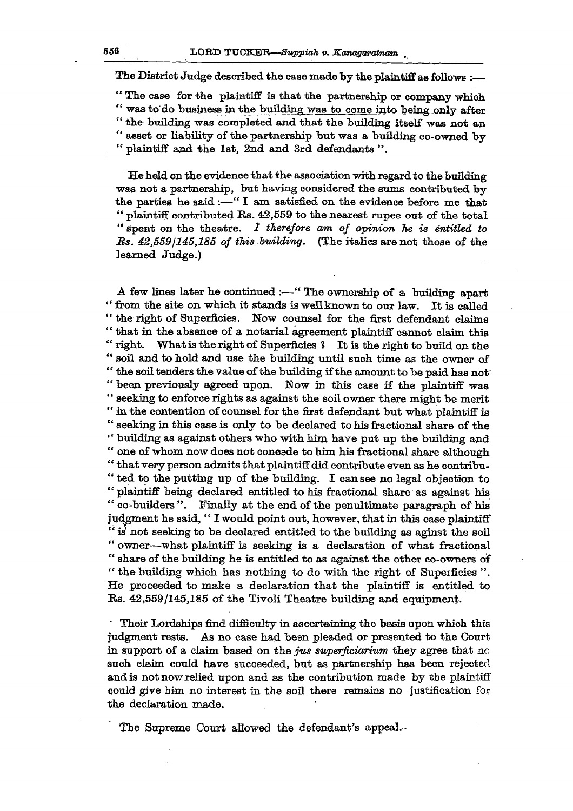**The District Judge described the case made by the plaintiff as follows :—** 

**" The case for the plaintiff is that the partnership or company which " was to do business in the building was to come into being.only after " the building was completed and that the building itself was not an " asset or liability of the partnership but was a building co-owned by " plaintiff and the 1st, 2nd and 3rd defendants ".** 

**He held on the evidence that the association with regard to the building was not a partnership, but having considered the sums contributed by the parties he said :—" I am satisfied on the evidence before me that " plaintiff contributed Rs. 42,559 to the nearest rupee out of the total " spent on the theatre.** *I therefore am of opinion he is entitled to Bs. 42,559J145J85 of this building.* **(The italics are not those of the learned Judge.)** 

**A few lines later he continued :—" The ownership of a building apart " from the site on which it stands is well known to our law. It is called " the right of Superficies. Now counsel for the first defendant claims " that in the absence of a notarial agreement plaintiff cannot claim this " right. What is the right of Superficies ? It is the right to build on the " soil and to hold and use the building until such time as the owner of " the soil tenders the value of the building if the amount to be paid has not' " been previously agreed upon. Now in this case if the plaintiff was " seeking to enforce rights as against the soil owner there might be merit " in the contention of counsel for the first defendant but what plaintiff is " seeking in this case is only to be declared to his fractional share of the " building as against others who with him have put up the building and " one of whom now does not concede to him his fractional share although " that very person admits that plaintiff did contribute even as he contribu- " ted to the putting up of the building. I can see no legal objection to " plaintiff being declared entitled to his fractional share as against his**  " co-builders". Finally at the end of the penultimate paragraph of his **judgment he said, " I would point out, however, that in this case plaintiff " is' not seeking to be declared entitled to the building as aginst the soil " owner—what plaintiff is seeking is a declaration of what fractional " share of the building he is entitled to as against the other co-owners of " the building which has nothing to do with the right of Superficies •". He proceeded to make a declaration that the plaintiff is entitled to Rs. 42,559/145,185 of the Tivoli Theatre building and equipment.** 

**' Their Lordships find difficulty in ascertaining the basis upon which this judgment rests. As no case had been pleaded or presented to the Court in support of a claim based on the** *jits superficiarium* **they agree that no such claim could have succeeded, but as partnership has been rejected and is not now relied upon and as the contribution made by tbe plaintiff could give him no interest in the soil there remains no justification for the declaration made.** 

**The Supreme Court allowed the defendant's appeal.-**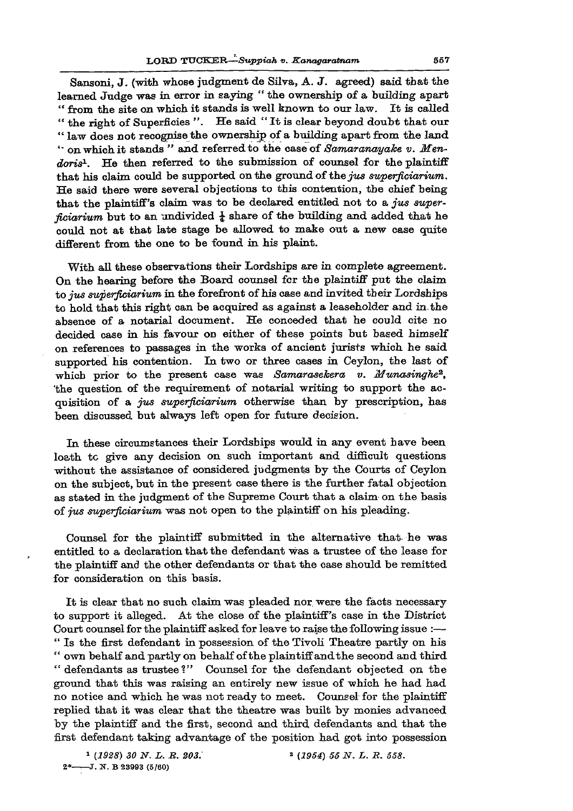**Sansoni, J . (with whose judgment de Silva, A. J . agreed) said that the learned Judge was in error in saying " the ownership of a building apart " from the site on which it stands is well known to our law. It is called " the right of Superficies ". He said " It is clear beyond doubt that our " law does not recognise the ownership of a building apart from the land on which it stands " and referred to the case of** *Samaranayake v. Mentions<sup>1</sup> .* **He then referred to the submission of counsel for the plaintiff that his claim could be supported on the ground of the** *jus superfieiarium.*  **He said there were several objections to this contention, the chief being that the plaintiff's claim was to be declared entitled not to a** *jus superficiarium* but to an undivided  $\frac{1}{4}$  share of the building and added that he **could not at that late stage be allowed to make out a new case quite different from the one to be found in his plaint.** 

**With all these observations their Lordships are in complete agreement. On the hearing before the Board counsel for the plaintiff put the claim to** *jus superfieiarium* **in the forefront of his case and invited their Lordships to hold that this right can be acquired as against a leaseholder and in. the absence of a notarial document. He conceded that he could cite no decided case in his favour on either of these points but based himself on references to passages in the works of ancient jurists which he said supported his contention. In two or three cases in Ceylon, the last of**  which prior to the present case was *Samarasekera v. Munasinghe<sup>2</sup>*, **'the question of the requirement of notarial writing to support the acquisition of a** *jus superfieiarium* **otherwise than by prescription, has been discussed but always left open for future decision.** 

**In these circumstances their Lordships would in any event have been loath tc give any decision on such important and difficult questions without the assistance of considered judgments by the Courts of Ceylon on the subject, but in the present case there is the further fatal objection as stated in the judgment of the Supreme Court that a claim on the basis of** *jus superfieiarium* **was not open to the plaintiff on his pleading.** 

**Counsel for the plaintiff submitted in the alternative that he was entitled to a declaration that the defendant was a trustee of the lease for the plaintiff and the other defendants or that the case should be remitted for consideration on this basis.** 

**It is clear that no such claim was pleaded nor. were the facts necessary to support it alleged. At the close of the plaintiff's case in the District Court counsel for the plaintiff asked for leave to raise the following issue :— " Is the first defendant in possession of theTivoli Theatre partly on his " own behalf and partly on behalf of the plaintiff andthe second and third " defendants as trustee?" Counsel for the defendant objected on the ground that this was raising an entirely new issue of which he had had no notice and which he was not ready to meet. Counsel for the plaintiff replied that it was clear that the theatre was built by monies advanced by the plaintiff and the first, second and third defendants and that the first defendant taking advantage of the position had got into possession**